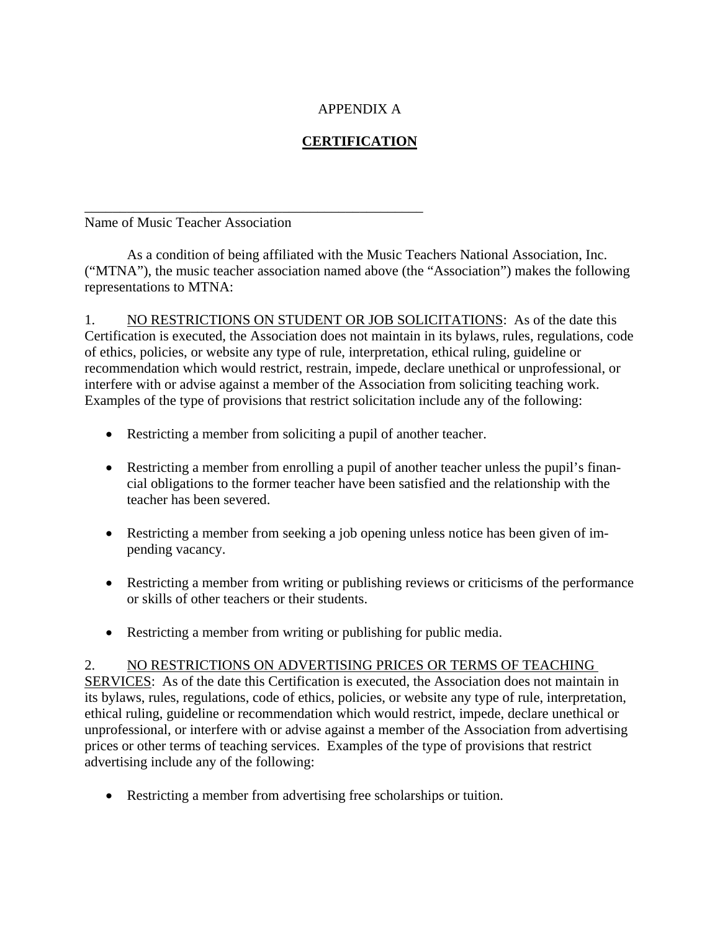## APPENDIX A

## **CERTIFICATION**

## Name of Music Teacher Association

\_\_\_\_\_\_\_\_\_\_\_\_\_\_\_\_\_\_\_\_\_\_\_\_\_\_\_\_\_\_\_\_\_\_\_\_\_\_\_\_\_\_\_\_\_\_\_\_

 As a condition of being affiliated with the Music Teachers National Association, Inc. ("MTNA"), the music teacher association named above (the "Association") makes the following representations to MTNA:

1. NO RESTRICTIONS ON STUDENT OR JOB SOLICITATIONS: As of the date this Certification is executed, the Association does not maintain in its bylaws, rules, regulations, code of ethics, policies, or website any type of rule, interpretation, ethical ruling, guideline or recommendation which would restrict, restrain, impede, declare unethical or unprofessional, or interfere with or advise against a member of the Association from soliciting teaching work. Examples of the type of provisions that restrict solicitation include any of the following:

- Restricting a member from soliciting a pupil of another teacher.
- Restricting a member from enrolling a pupil of another teacher unless the pupil's financial obligations to the former teacher have been satisfied and the relationship with the teacher has been severed.
- Restricting a member from seeking a job opening unless notice has been given of impending vacancy.
- Restricting a member from writing or publishing reviews or criticisms of the performance or skills of other teachers or their students.
- Restricting a member from writing or publishing for public media.

## 2. NO RESTRICTIONS ON ADVERTISING PRICES OR TERMS OF TEACHING

SERVICES: As of the date this Certification is executed, the Association does not maintain in its bylaws, rules, regulations, code of ethics, policies, or website any type of rule, interpretation, ethical ruling, guideline or recommendation which would restrict, impede, declare unethical or unprofessional, or interfere with or advise against a member of the Association from advertising prices or other terms of teaching services. Examples of the type of provisions that restrict advertising include any of the following:

Restricting a member from advertising free scholarships or tuition.